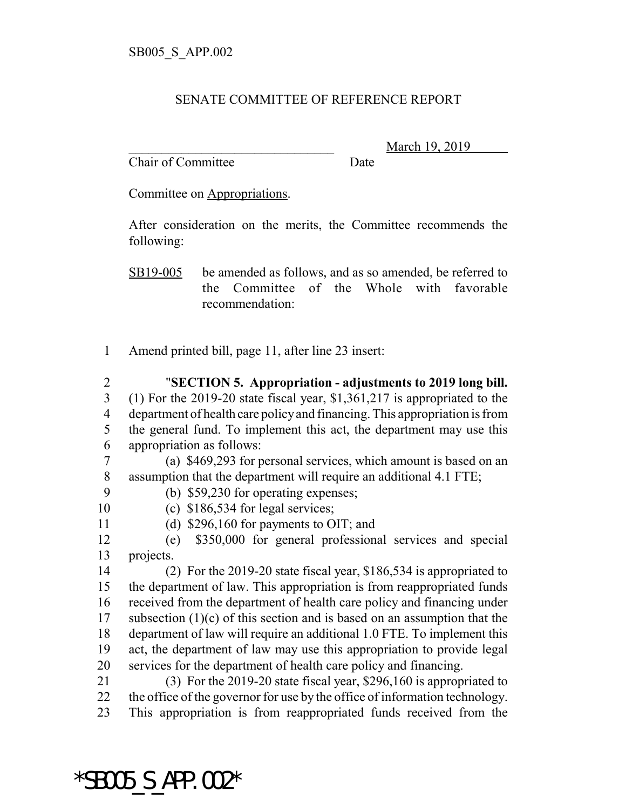## SENATE COMMITTEE OF REFERENCE REPORT

Chair of Committee Date

\_\_\_\_\_\_\_\_\_\_\_\_\_\_\_\_\_\_\_\_\_\_\_\_\_\_\_\_\_\_\_ March 19, 2019

Committee on Appropriations.

After consideration on the merits, the Committee recommends the following:

SB19-005 be amended as follows, and as so amended, be referred to the Committee of the Whole with favorable recommendation:

- Amend printed bill, page 11, after line 23 insert:
- "**SECTION 5. Appropriation adjustments to 2019 long bill.** (1) For the 2019-20 state fiscal year, \$1,361,217 is appropriated to the department of health care policy and financing. This appropriation is from the general fund. To implement this act, the department may use this appropriation as follows:

 (a) \$469,293 for personal services, which amount is based on an assumption that the department will require an additional 4.1 FTE;

- (b) \$59,230 for operating expenses;
- (c) \$186,534 for legal services;
- (d) \$296,160 for payments to OIT; and

 (e) \$350,000 for general professional services and special projects.

 (2) For the 2019-20 state fiscal year, \$186,534 is appropriated to the department of law. This appropriation is from reappropriated funds received from the department of health care policy and financing under subsection (1)(c) of this section and is based on an assumption that the department of law will require an additional 1.0 FTE. To implement this act, the department of law may use this appropriation to provide legal services for the department of health care policy and financing.

- (3) For the 2019-20 state fiscal year, \$296,160 is appropriated to the office of the governor for use by the office of information technology.
- This appropriation is from reappropriated funds received from the

## \*SB005\_S\_APP.002\*